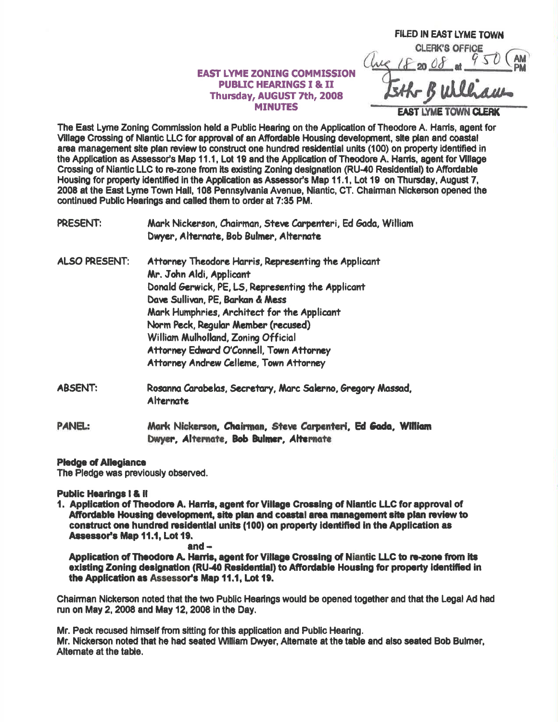## **EAST LYME ZONING COMMISSION PUBLIC HEARINGS I & II** Thursday, AUGUST 7th, 2008 **MINUTES**

**FILED IN EAST LYME TOWN CLERK'S OFFICE** E 18 20 08 at 950 ( **AST LYME TOWN CLERK** 

The East Lyme Zoning Commission held a Public Hearing on the Application of Theodore A. Hams, agent for Village Crossing of Niantic LLC for approval of an Affordable Housing development, site plan and coastal area management site plan review to construct one hundred residential units (100) on property identified in the Application as Assessor's Map 11.1. Lot 19 and the Application of Theodore A. Harris, agent for Village Crossing of Niantic LLC to re-zone from its existing Zoning designation (RU-40 Residential) to Affordable Housing for property identified in the Application as Assessor's Map 11.1, Lot 19 on Thursday, August 7, 2008 at the East Lyme Town Hall, 108 Pennsylvania Avenue, Niantic, CT, Chairman Nickerson opened the continued Public Hearings and called them to order at 7:35 PM.

PRESENT: Mark Nickerson, Chairman, Steve Carpenteri, Ed Gada, William Dwyer, Alternate, Bob Bulmer, Alternate

- **ALSO PRESENT:** Attorney Theodore Harris, Representing the Applicant Mr. John Aldi, Applicant Donald Gerwick, PE, LS, Representing the Applicant Dave Sullivan, PE, Barkan & Mess Mark Humphries, Architect for the Applicant Norm Peck, Regular Member (recused) William Mulholland, Zoning Official Attorney Edward O'Connell, Town Attorney Attorney Andrew Celleme, Town Attorney
- **ABSENT:** Rosanna Carabelas, Secretary, Marc Salerno, Gregory Massad, **Alternate**
- **PANEL:** Mark Nickerson, Chairman, Steve Carpenteri, Ed Gada, William Dwyer, Alternate, Bob Bulmer, Alternate

## **Pledge of Allegiance**

The Pledge was previously observed.

**Public Hearings I & II** 

1. Application of Theodore A. Harris, agent for Village Crossing of Niantic LLC for approval of Affordable Housing development, site plan and coastal area management site plan review to construct one hundred residential units (100) on property identified in the Application as Assessor's Map 11.1, Lot 19.

and  $-$ 

Application of Theodore A. Harris, agent for Village Crossing of Niantic LLC to re-zone from its existing Zoning designation (RU-40 Residential) to Affordable Housing for property identified in the Application as Assessor's Map 11.1, Lot 19.

Chairman Nickerson noted that the two Public Hearings would be opened together and that the Legal Ad had run on May 2, 2008 and May 12, 2008 in the Day.

Mr. Peck recused himself from sitting for this application and Public Hearing. Mr. Nickerson noted that he had seated William Dwyer, Alternate at the table and also seated Bob Bulmer, Alternate at the table.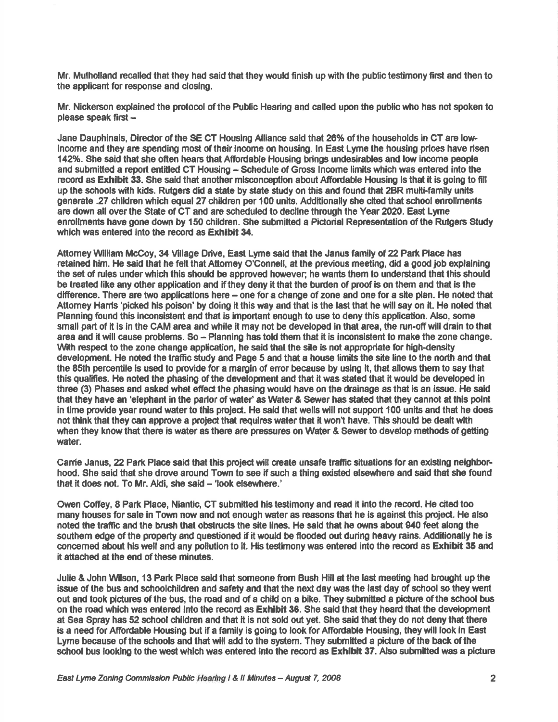Mr. Mulholland recalled that they had said that they would finlsh up with the public testimony first and then to the applicant for response and closing.

Mr. Nickerson explained the protocol of the Public Hearing and called upon the public who has not spoken to please speak first  $-$ 

Jane Dauphinais, Director of the SE CT Housing Alliance said that 26% of the households in CT are lowincome and they are spending most of their income on housing. In East Lyme the housing prices have risen 142%. She said that she often hears that Affordable Housing brings undesirables and low income people and submitted a report entitled CT Housing - Schedule of Gross Income limits which was entered into the record as Exhibit 33. She said that another misconception about Affordable Housing is that it is going to fill up the schools with kids. Rutgers did a state by state study on this and found that 2BR multi-family units generate .27 children which equal 27 children per 100 units. Additionally she clted that school enrollments are down all over the State of CT and are scheduled to decline through the Year 2020. East Lyme enrollments have gone down by 150 children. She submitted a Pictorial Representation of the Rutgers Study which was entered into the record as Exhibit 34.

Attomey William McCoy, 34 Village Drive, East Lyme said that the Janus family of 22 Park Place has retained him. He said that he felt that Attomey O'Connell, at the previous meeting, did a good job explaining the set of rules under which this should be approved however; he wants them to understand that this should be treated like any other application and if they deny it that the burden of proof is on them and that is the difference. There are two applications here – one for a change of zone and one for a site plan. He noted that Attomey Hanls 'picked his poison' by doing it this way and that is the last that he will say on it. He noted that Planning found this inconsistent and that is important enough to use to deny this application. Also, some small part of it is in the CAM area and while it may not be developed in that area, the run-off will drain to that area and it will cause problems. So - Planning has told them that it is inconsistent to make the zone change. With respect to the zone change application, he said that the site is not appropriate for high-density development. He noted the traffic study and Page 5 and that a house limits the site line to the north and that the 85th percentile is used to provide for a margin of error because by using it, that allows them to say that this qualifies. He noted the phasing of the development and that it was stated that it would be developed in three (3) Phases and asked what effect the phasing would have on the drainage as that is an issue. He said that they have an 'elephant in the parlor of water' as Water & Sewer has stated that they cannot at this point in time provide year round water to this project. He said that wells will not support 100 units and that he does not think that they can approve a project that requires water that it won't have. This should be dealt with when they know that there is water as there are pressures on Water & Sewer to develop methods of getting water.

Carrie Janus, 22 Park Place said that this project will create unsafe traffic situations for an existing neighborhood. She said that she drove around Town to see if such a thing existed elsewhere and said that she found that it does not. To Mr. Aldi, she said - 'look elsewhere.'

Owen Cofiey, 8 Park Place, Niantic, CT submified his testimony and read it into the recod. He cited too many houses for sale in Town now and not enough water as reasons that he is against this project. He also noted the traffic and the brush that obstructs the site lines. He said that he owns about 940 feet along the southem edge of the property and questioned if it would be flooded out during heavy rains. Additionally he is concerned about his well and any pollution to it. His testimony was entered into the record as Exhibit 35 and it attached at the end of these minutes.

Julie & John Wilson, 13 Park Place said that someone from Bush Hill at the last meeting had brought up the issue of the bus and schoolchildren and safety and that the next day was the last day of school so they went out and took pictures of the bus, the road and of a child on a bike. They submitted a picture of the school bus on the road which was entered into the record as **Exhibit 36**. She said that they heard that the development at Sea Spray has 52 sotrool drildren and that it is not sold out yet. She said that they do not deny that there is a need for Affordable Housing but if a family is going to look for Affordable Housing, they will look in East Lyme because of the schools and that will add to the system. They submitted a picture of the back of the school bus looking to the west which was entered into the record as Exhibit 37. Also submitted was a picture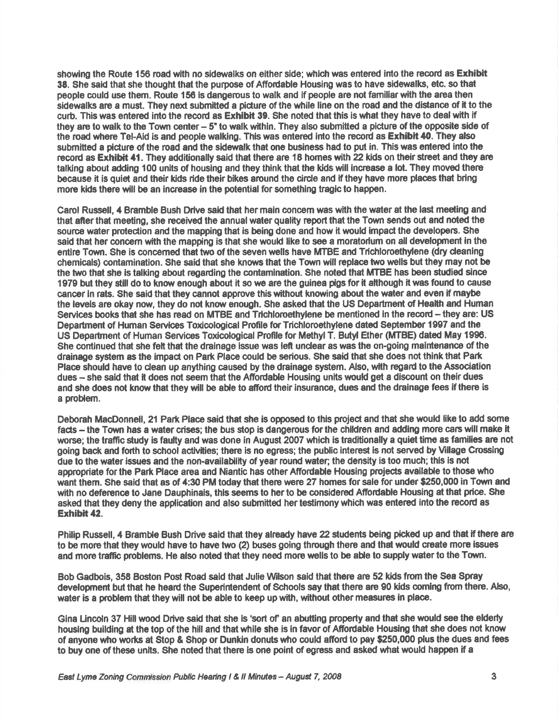showing the Route 156 road with no sidewalks on either side; which was entered into the record as Exhibit 38. She said that she thought that the purpose of Affordable Housing was to have sidewalks, etc. so that people could use them. Route 156 is dangerous to walk and if people are not famillar with the area then sidewalks are a must. They next submitted a picture of the while line on the road and the distance of it to the curb. This was entered into the record as Exhibit 39. She noted that this is what they have to deal with if they are to walk to the Town center - 5" to walk within. They also submitted a picture of the opposite side of the road where Tel-Aid is and people walking. This was entered into the record as Exhibit 40. They also submitted a picture of the road and the sidewalk that one business had to put in. This was entered into the record as Exhibit 41. They additionally said that there are 18 homes with 22 kids on their street and they are talking about adding 100 units of housing and they think that the kids will increase a lot. They moved there because it is quiet and their kids ride their bikes around the circle and if they have more places that bring more kids there will be an increase in the potential for something traglc to heppen.

Carol Russell, 4 Bramble Bush Drive said that her main concern was with the water at the last meeting and that after that meeting, she received the annual water quality report that the Town sends out and noted the source water protection and the mapping that is being done and how it would impact the developers. She said that her concern with the mapping is that she would like to see a moratorium on all development in the entire Town. She is concerned that two of the seven wells have MTBE and Trichloroethylene (dry cleaning chemicals) contamination. She said that she knows that the Town will replace two wells but they may not be the two that she is talking about regarding the contamination. She noted that MTBE has been studied since 1979 but they still do to know enough about it so we are the guinea pigs for it although it was found to cause cancer in rats. She said that they cannot approve this without knowing about the water and even if maybe the levels are okay now, they do not know enough. She asked that the US Department of Health and Human Services books that she has read on MTBE and Trichloroethylene be mentioned in the record - they are: US Departmont of Human Servlces Toxioological Profile for Trichloroethylene dated September 1997 and the US Department of Human Services Toxicological Profile for Methyl T. Butyl Ether (MTBE) dated May 1996. She continued that she felt that the drainage issue was left unclear as was the on-going maintenance of the drainage system as the impact on Park Place could be serious. She said that she does not think that Park Place should have to clean up anything caused by the drainage system. Also, with regard to the Association dues - she said that it does not seem that the Affordable Housing units would get a discount on their dues and she does not know that they will be able to afford their insurance, dues and the drainage fees if there is a problem.

Deborah MacDonnell, 21 Park Place said that she is opposed to this project and that she would like to add some facts - the Town has a water crises; the bus stop is dangerous for the children and adding more cars will make it worse; the traffic study is faulty and was done in August 2007 which is traditionally a quiet time as families are not going back and forth to school activtties; there is no egress; the public interest is not served by Mllage Crossing due to the water issues and the non-availability of year round water; the density is too much; this is not appropriate for the Park Place area and Niantic has other Affordable Housing projects available to those who want them. She said that as of 4:30 PM today that there were 27 homes for sale for under \$250,000 in Town and with no deference to Jane Dauphinais, this seems to her to be considered Affordable Housing at that price. She asked that they deny the application and also submitted her testimony which was entered into the record as Erhibit 42.

Philip Russell, 4 Bramble Bush Drive said that they already have 22 students being picked up and that if there are to be more that they would have to have two (2) buses going through there and that would create more issues and more traffic problems. He also noted that they need more wells to be able to supply water to the Town.

Bob Gadbois, 358 Boston Post Road said that Julie Wilson said that there are 52 kids from the Sea Spray development but that he heard the Superintendent of Schools say that there are 90 kids coming from there. Also, water is a problem that they will not be able to keep up with, without other measures in place.

Gina Lincoln 37 Hill wood Drive said that she is 'sort of' an abutting property and that she would see the elderly housing building at the top of the hill and that whlle she is in favor of Afiordable Housing that she does not know of anyone who works at Stop & Shop or Dunkin donuts who could afford to pay \$250,000 plus the dues and fees to buy one of these units. She noted that there is one point of egress and asked what would happen if a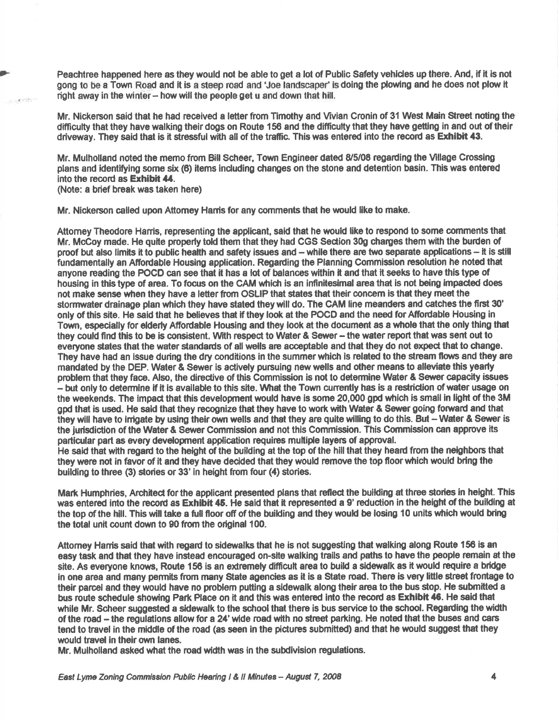Peachtree happened here as they would not be able to get a lot of Public Safety vehides up there. And, if it is not gong to be a Town Road and it is a steep road and 'Joe landscaper' is doing the plowing and he does not plow it right away in the winter - how will the people get u and down that hill.

Mr. Nickerson said that he had received a letter from Timothy and Vivian Cronin of 31 West Main Street noting the difficulty that they have walking their dogs on Route 156 and the difficulty that they have getting in and out of their driveway. They said that is it stressful with all of the traffic. This was entered into the record as Exhibit 43.

Mr. Mulholland noted the memo from Elill Scheer, Town Engineer dated 8/5/08 regading the Mllage Crossing plans and identifylng some six (6) items including changes on the stone and detention basin. This was entercd into the record as Exhibit 44.

(Note: a brief break was taken here)

, jj'il '

Mr. Nickerson called upon Attomey Hams for any comments that he would like to make.

Attomey Theodore Harris, representing the applicant, said that he would like to respond to some comments that Mr. McCoy made. He quite properly told them that they had CGS Section 30g charges them with the burden of proof but also limits it to public health and safety issues and - while there are two separate applications - it is still fundamentally an Affordable Housing application. Regarding the Planning Commission resolution he noted that anyone reading the POCD can see that it has a lot of balances within it and that it seeks to have this type of housing in this type of area. To focus on the CAM which is an infinitesimal area that is not being impacted does not make sense when they have a letter from OSLIP that states that their concern is that they meet the stormwater drainage plan which they have stated they will do. The GAM line meanders and catches the first 30' only of this site. He said that he believes that if they look at the POCD and the need for Affordable Housing in Town, espedally for elderly Afiordable Housing and they look at the document as a whole that the only thing that they could find this to be is consistent. With respect to Water & Sewer - the water report that was sent out to everyone states that the water standards of all wells are acceptable and that they do not expect that to change. They have had an issue during the dry conditions in the summer which is related to the stream flows and they are mandated by the DEP. Water & Sewer is actively pursuing new wells and other means to alleviate this yearly problem that they face. Also, the directive of this Commission is not to determine Water & Sewer capacity issues - but only to determine if it is available to this site. What the Town currently has is a restriction of water usage on the weekends. The impact that this development would have is some 20,000 gpd which is small in light of the 3M gpd that is used. He said that they recognize that they have to work with Water & Sewer going forward and that they will have to irrigate by using their own wells and that they are quite willing to do this. But - Water & Sewer is the jurisdiction of the Water & Sewer Commission and not this Commission. This Commission can approve its particular part as every development application requires multiple layers of approval. He said that with regard to the height of the building at the top of the hill that they heard from the neighbors that they were not in favor of it and they have decided that they would remove the top floor which would bring the

building to three (3) stories or 33' in height from four (4) stories.

Mark Humphries, Architect for the applicant presented plans that reflect the building at three stories in height. This was entered into the record as Exhibit 45. He said that it represented a 9' reduction in the height of the building at the top of the hill. This will take a full floor off of the building and they would be losing 10 units which would bring the total unit count down to 90 from the original 100.

Attorney Harris said that with regard to sidewalks that he is not suggesting that walking along Route 156 is an easy task and that they have instead encouraged on-sile walking trails and paths to have the people remain at the site. As everyone knows, Route 156 is an extremely difficult area to build a sidewalk as it would require a bridge in one area and many permits from many State agencies as it is a State road. There is very little street frontage to their parcel and they would have no problem putting a sidewalk along their area to the bus stop. He submitted a bus route schedule showing Park Place on it and this was entered into the record as Exhibit 46. He said that while Mr. Scheer suggested a sidewalk to the school that there is bus service to the school. Regarding the width of the road - the regulations allow for a 24' wide road with no street parking. He noted that the buses and cars tend to travel in the middle of the road (as seen in the pictures submitted) and that he would suggest that they would travel in their own lanes.

Mr. Mulholland asked what the road width was in the subdivision regulations.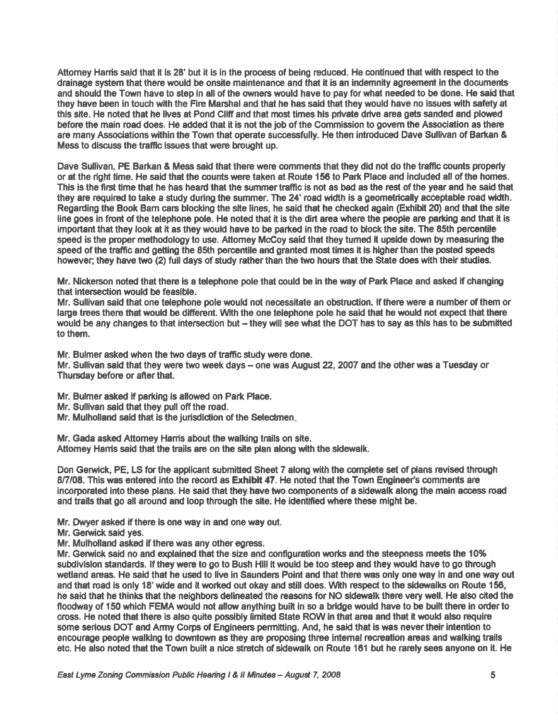Attomey Harris said that it is 28' but it is in the process of being reduced. He continued that with respect to the drainage system that there would be onsite maintenance and that it is an indemnity agreement in the documents and should the Town have to step in all of the owners would have to pay for what needed to be done. He said that they have been in touch with the Fire Marshal and that he has said that they would have no issues with safety at this site. He noted that he lives at Pond Cliff and that most times his private drive area gets sanded and plowed before the main road does. He added that it is not the job of the Commission to govem the Association as there are many Associations within the Town that operate successfully. He then introduced Dave Sullivan of Barkan & Mess to discuss the traffic issues that were brought up.

Dave Sullivan, P€ Barkan & Mess said that there were comments that they did not do the traffic counts proporly or at the right time. He said that the oounts were taken at Route 156 to Park Plece and induded all of the hornes. This is the first time that he has heard that the summer traffic is not as bad as the rest of the year and he said that they are required to take a study during the summer. The 24' road width is a geometrically acceptable road width. Regarding the Book Bam cars blocking the site lines, he said that he checked again (Exhibit 20) and that the site line goes in front of the telephone pole. He noted that it is the dirt area where the people are parking and that it is important that they look at it as they would have to be parked in the road to block the site. The 85th percentile speed is the proper methodology to use. Attomey McCoy said that they turned it upside down by measuring the speed of the traffic and getting the 85th percentile and granted most times it is higher than the posted speeds however; they have two (2) full days of study rather than the two hours that the State does with their studies.

Mr. Nickerson noted that there is a telephone pole that could be in the way of Park Place and asked if changing that intersection woukl be feasible.

Mr. Sullivan said that one telephone pole would not necessitate an obstrudion. lf there wene a number of them or large trees there that would be different. With the one telephone pole he said that he would not expect that there would be any changes to that intersection but -- they will see what the DOT has to say as this has to be submitted to them.

Mr. Bulmer asked when the two days of traffic study were done. Mr. Sullivan said that they were two week days – one was August 22, 2007 and the other was a Tuesday or Thursday before or after that.

Mr. Bulmer asked if parking is allowed on Park Place.

Mr. Sullivan said that they pull off the road.

Mr. Mulholland said that is the jurisdiction of the Selectmen.

Mr. Gada asked Attomey Harris about the walking trails on site. Attomey Hamis said that the trails are on the site plan along with the sidewalk.

Don Gerwick, PE, LS for the applicant submitted Sheet 7 along with the complete set of plans revised through 8/7/08. This was entered into the record as Exhibit 47. He noted that the Town Engineer's comments are incorporated into these plans. He said that they have two components of a sidewalk along the main access road and trails that go all around and loop through the site. He identified where these might be.

Mr. Dwyer asked if there is one way in and one way out.

Mr. Gerwick said yes.

Mr. Mulholland asked if there was any other egress.

Mr. Gerwick said no and explained that the size and configuration works and the steepness meets the 10% subdivision standards. If they were to go to Bush Hill it would be too steep and they would have to go through wetland areas. He said that he used to live in Saunders Point and that there was only one way in and one way out and that road is only 18' wide and it worked out okay and still does. With respect to the sidewalks on Route 156, he said that he thinks that the neighbors delineated the reasons for NO sidewalk there very well. He also cited the floodway of 150 which FEMA would not allow anything built in so a bridge would have to be built there in order to cross. He noted that there is also quite possibly limited State ROW in that area and that it would also require some serious DOT and Army Corps of Engineers permitting. And, he said that is was never their intention to encourage people walking to downtown as they are proposing three internal recreation areas and walking trails etc. He also noted that the Town built a nice stretch of sidewalk on Route 161 but he rarely sees anyone on it. He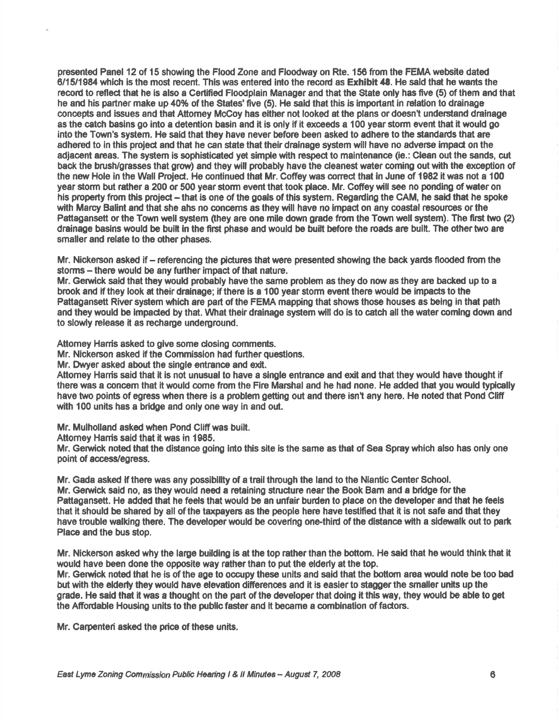presented Panel 12 of 15 showing the Flood Zone and Floodway on Rte. 156 fiom the FEMA weboite dated 611511984 which is the most recent. This was entered into the record as Exhibit 48. He sald that he wants the record to refled thet he is also a Certlfted Floodplain Manager and that the State only has frve (5) of them and that he and his partner make up 40% of the States' five (5). He said that this is important in relation to drainage concepts and issues and that Attomey McCoy has either not looked at the plans or doesn't understand drainage as the catch basins go into a detention basin and it is only if it exceeds a 100 year storm event that it would go into the Town's system. He said that they have never before been asked to adhere to the standards that are adhered to in this project and that he can state that their drainage system will have no adverse impact on the adjacent areas. The system is sophisticated yet simple with respect to maintenance (ie.: Clean out the sands, cut back the brush/grasses that grow) and they will probably have the cleanest water coming out with the exception of the new Hole in the Wall Project. He continued that Mr. Coffey was correct that in June of 1982 it was not a 100 year storm but rather a 200 or 500 year storm event that took place. Mr. Coffey will see no ponding of water on his property from this project - that is one of the goals of this system. Regarding the CAM, he said that he spoke with Marcy Balint and that she ahs no concerns as they will have no impact on any coastal resources or the Pattagansett or the Town well system (they are one mile down grade from the Town well system). The first two (2) drainage basins would be built in the ffrst phase and would be built before the roads are built. The othertwo are smaller and relate to the other phases.

Mr. Nickerson asked if – referencing the pictures that were presented showing the back yards flooded from the storms – there would be any further impact of that nature.

Mr. Gemick said that they would probably have the same problem as they do now as they are backed up to a brcok and if they look at their drainage; if there is a 100 year storm event there uould be impeds to the Pattagansett River system which are part of the FEMA mapping that shows those houses as being in that path and they would be impacted by that. What their drainage system will do is to catch all the water coming down and to slowly release it as recharge underground.

Attomey Harris asked to give some closing comments.

Mr. Nickerson asked if the Commission had further questions.

Mr. Dwyer asked about the single entrance and exit.

Attomey Hanis seid that it is not unusual to have a single entrance and exit and that they would have thought if there was a ooncem that it would come from the Fire Marshal and he had none. He added that you would typically have two points of egress when there is a problem getting out and there isn't any here. He noted that Pond Cliff with 100 units has a bridge and only one way in and out.

Mr. Mulholland asked when Pond Cliff was built.

Attomey Hanis said that it was in 1985.

Mr. Gerwick noted that the distance going into this site is the same as that of Sea Spray which also has only one point of access/egress.

Mr. Gada asked if there was any possibility of a trail through the land to the Niantic Center School. Mr. Gerwick said no, as they would need a retaining structure near the Book Barn and a bridge for the Pattagansett. He added that he feels that would be an unfair burden to place on the developer and that he feels that it should be shared by all of the taxpayers as the people here have testified that it is not safe and that they have trouble walking there. The developer would be covering one-third of the distance with a sidewalk out to park Place and the bus stop.

Mr. Nickerson asked why the large building is at the top rather than the bottom. He said that he would think that it would have been done the opposite way rather than to put the elderly at the top.

Mr. Gerwick noted that he is of the age to occupy these units and said that the bottom area would note be too bad but with the elderly they would have elevation differences and it is easier to stagger the smaller units up the grade. He said that it was a thought on the part of the developer that doing it this way, they would be able to get the Affordable Housing units to the public faster and it became a combination of factors.

Mr. Carpenteri asked the pice of these units.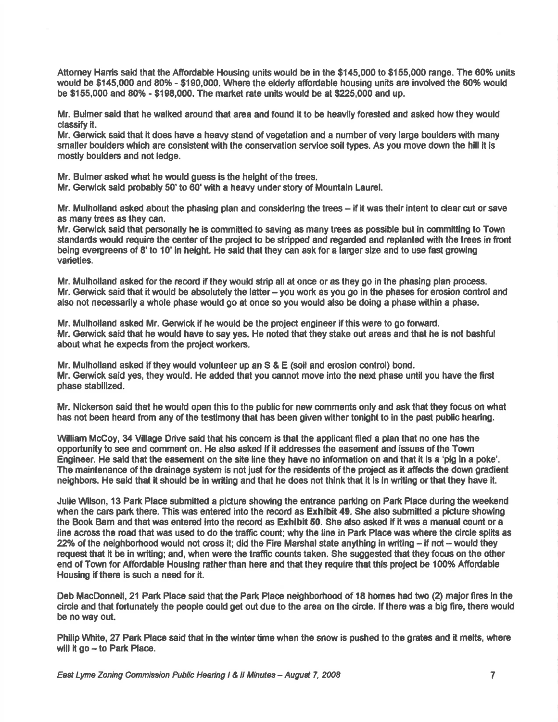Attorney Harris said that the Affordable Housing units would be in the \$145,000 to \$155,000 range. The 60% units would be \$145,000 and 80% - \$190,000. Where the elderly affordable housing units are involved the 60% would be  $$155,000$  and  $80\%$  -  $$198,000$ . The market rate units would be at \$225,000 and up.

Mr. Bulmer said that he walked around that area and found it to be heavily forested and asked how they would classify it.

Mr. Gerwick sald that it does have a heavy sland of vegetation and a number of very large boulders with many smaller boulders which are consistent with the conservation service soil types. As you move down the hill it is mostly boulders and not ledge.

Mr. Bulmer asked what he would guess is the helght of the trees.

Mr. Gerwick said probably 50' to 60'wtth a heavy under story of Mountain Laurel.

Mr. Mulholland asked about the phasing plan and considering the trees - if it was their intent to clear cut or save as many trees as they can.

Mr. Geruick said that personally he is committed to saving es many trees as possible but ln committing to Town standards would require the center of the project to be stripped and regarded and replanted with the trees in front being evergreens of 8' to 10' in height. He said that they can ask for a larger size and to use fast growing varieties.

Mr. Mulholland asked for the record if they would strip all at once or as they go in the phasing plan process. Mr. Gerwick said that it would be absolutely the latter- you work as you go in the phases for erosion control and also not necessarily a whole phase would go at once so you would also be doing a phase within a phase.

Mr. Mulholland asked Mr. Gerwick if he would be the project engineer if this were to go forward. Mr. Gerwick said that he would have to say yes. He noted that they stake out areas and that he is not bashful about what he expects from the project workers.

Mr. Mulholland asked if theywould volunteer up an S & E (soil and erosion control) bond. Mr. Gerwick said yes, they would. He added that you cannot move into the next phase until you have the first phase stebilized.

Mr. Nickerson said that he would open this to the public for new comments only and ask that they focus on what has not been heard from any of the testimony that has been given wither tonight to in the past public hearing.

William McCoy, 34 Village Drive said that his concern is that the applicant filed a plan that no one has the opportunity to see and comment on. He also asked if it addrcsses the easement and issues of the Town Engineer. He said that the easement on the site line they have no information on and that it is a 'pig in a poke'. The maintenance of the drainage system is not just for the residents of the project as it affects the down gradient neighbors. He said that it should be in writing and that he does not think that it is in writing or that they have it.

Julie Wilson, 13 Park Place submitted a picture showing the entrance parking on Park Place during the weekend when the cars park there. This was entered into the record as Exhibit 49. She also submitted a picture showing the Book Bam and that was entered into the record as Exhibit 50. She also asked if it was a manual count or a line across the road that was used to do the traffic count; why the line in Park Place was where the circle splits as 22% of the neighborhood would not cross it; did the Fire Marshal state anything in writing  $-$  if not  $-$  would they request that it be in writing; and, wfien were the traffic counts taken. She suggested that they focus on the other end of Town for Affordable Housing rather than here and that they require that this project be 100% Affordable Housing if there is such a need for it.

Deb MacDonnell, 21 Park Place said that the Park Place neighborhood of 18 homes had two (2) major fires in the circle and that fortunately the people could get out due to the area on the circle. If there was a big fire, there would be no way out.

Philip White, 27 Park Place said that in the winter time when the snow is pushed to the grates and it melts, where will it go - to Park Place.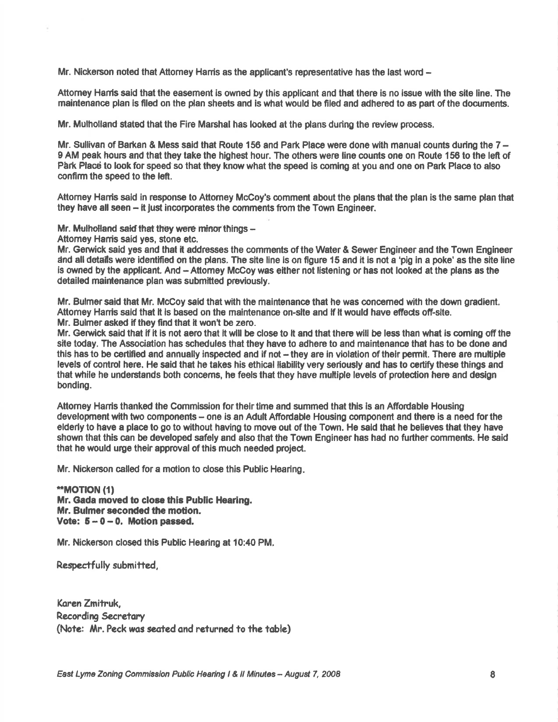Mr. Nickerson noted that Attomey Harris as the applicant's representative has the last word -

Attorney Harris said that the easement is owned by this applicant and that there is no issue with the site line. The maintenance plan is ftled on the dan sheets and is what would be filed and adhered to as part of the documents.

Mr. Mulholland stated that the Fire Marshal has looked at the plans during the review procoss.

Mr. Sullivan of Barkan & Mess said that Route 156 and Park Place were done with manual counts during the 7 -9 AM peak hours and that they take the highest hour. The others were line counts one on Route 156 to the left of Park Place to look for speed so that they know what the speed is coming at you and one on Park Place to also confirm the speed to the lefl.

Attomey Hanis said in response to Attomey Mc€oy's comment about the plans that the plan is the same plan that they have all seen - it just incorporates the comments from the Town Engineer.

Mr. Mulholland said that they were minor things  $-$ 

Attomey Hamis said yes, stone etc.

Mr. Gerwick said yes and that it addresses the comments of the Water & Sewer Engineer and the Town Engineer dnd alldstails were identified on the plans. The slte line is on ffgure 15 and it is not a 'pig in a poke' as the site line is owned by the applicant. And - Attorney McCoy was either not listening or has not looked at the plans as the detailed maintenance plan was submitted previously.

Mr. Bulmer said that Mr. McCoy said that with the maintenance that he was concerned with the down gradient. Attomey Hanis sald that it ls based on the malntenance on-slte and lf lt would have efieds olf-slte. Mr. Bulmer asked if they find that it won't be zero.

Mr. Gerwick said that if it is not aero that it will be close to it and that there will be less than what is coming off the site today. The Association has schedules that they have to adhere to and maintenance that has to be done and this has to be certified and annually inspected and if not – they are in violation of their permit. There are multiple levels of control here. He said that he takes his ethical llability very seriously and has to cortify these things and that while he understands both concerns, he feels that they have multiple levels of protection here and design bonding.

Attorney Harris thanked the Commission for their time and summed that this is an Affordable Housing development with two components - one is an Adult Affordable Housing component and there is a need for the elderly to have a place to go to without having to move out of the Town. He said that he believes that they have shown that this can be developed safely and also that the Town Engineer has had no further comments. He said that he would urge their approval of this much needed project.

Mr. Nickerson called for a motion to close this Public Hearing

\*\*MOTION (1) Mr. Gada moved to close thls Public Hearing. Mr. Bulmer seconded the motion. Vote:  $5 - 0 - 0$ . Motion passed.

Mr. Nickerson closed this Public Hearing at 10:40 PM.

Respectfully submitted,

Koren Zmitruk, Recording Secretary (Note: Mr. Peck was seated and returned to the table)